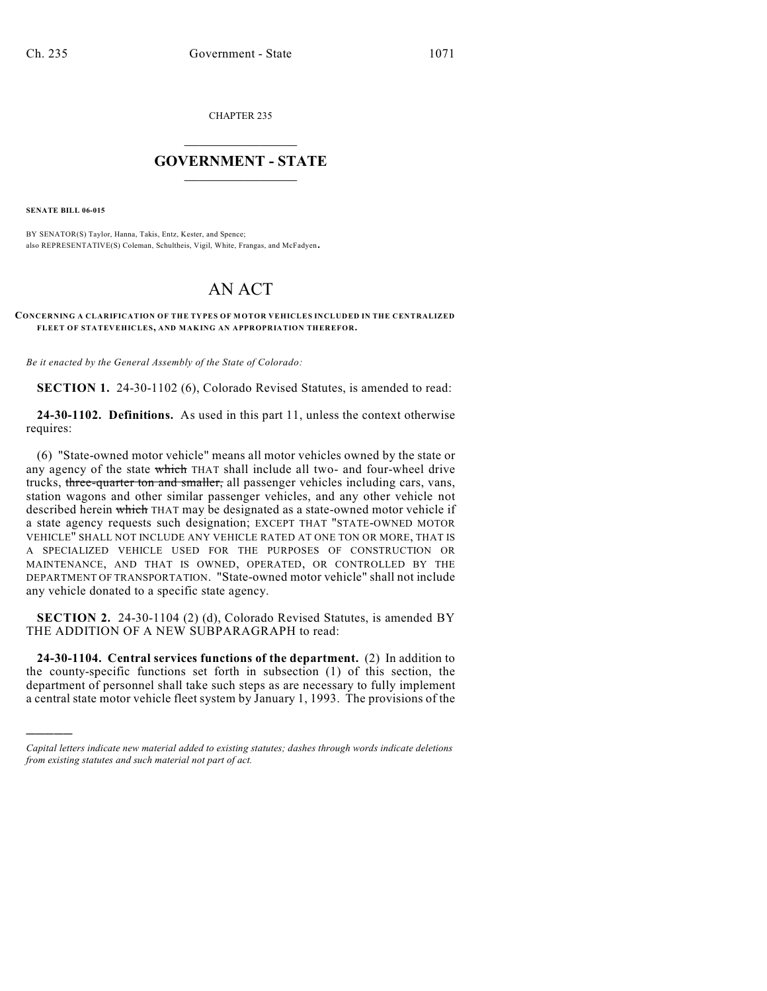CHAPTER 235

## $\overline{\phantom{a}}$  . The set of the set of the set of the set of the set of the set of the set of the set of the set of the set of the set of the set of the set of the set of the set of the set of the set of the set of the set o **GOVERNMENT - STATE**  $\_$

**SENATE BILL 06-015**

)))))

BY SENATOR(S) Taylor, Hanna, Takis, Entz, Kester, and Spence; also REPRESENTATIVE(S) Coleman, Schultheis, Vigil, White, Frangas, and McFadyen.

## AN ACT

## **CONCERNING A CLARIFICATION OF THE TYPES OF MOTOR VEHICLES INCLUDED IN THE CENTRALIZED FLEET OF STATEVEHICLES, AND MAKING AN APPROPRIATION THEREFOR.**

*Be it enacted by the General Assembly of the State of Colorado:*

**SECTION 1.** 24-30-1102 (6), Colorado Revised Statutes, is amended to read:

**24-30-1102. Definitions.** As used in this part 11, unless the context otherwise requires:

(6) "State-owned motor vehicle" means all motor vehicles owned by the state or any agency of the state which THAT shall include all two- and four-wheel drive trucks, three-quarter ton and smaller, all passenger vehicles including cars, vans, station wagons and other similar passenger vehicles, and any other vehicle not described herein which THAT may be designated as a state-owned motor vehicle if a state agency requests such designation; EXCEPT THAT "STATE-OWNED MOTOR VEHICLE" SHALL NOT INCLUDE ANY VEHICLE RATED AT ONE TON OR MORE, THAT IS A SPECIALIZED VEHICLE USED FOR THE PURPOSES OF CONSTRUCTION OR MAINTENANCE, AND THAT IS OWNED, OPERATED, OR CONTROLLED BY THE DEPARTMENT OF TRANSPORTATION. "State-owned motor vehicle" shall not include any vehicle donated to a specific state agency.

**SECTION 2.** 24-30-1104 (2) (d), Colorado Revised Statutes, is amended BY THE ADDITION OF A NEW SUBPARAGRAPH to read:

**24-30-1104. Central services functions of the department.** (2) In addition to the county-specific functions set forth in subsection (1) of this section, the department of personnel shall take such steps as are necessary to fully implement a central state motor vehicle fleet system by January 1, 1993. The provisions of the

*Capital letters indicate new material added to existing statutes; dashes through words indicate deletions from existing statutes and such material not part of act.*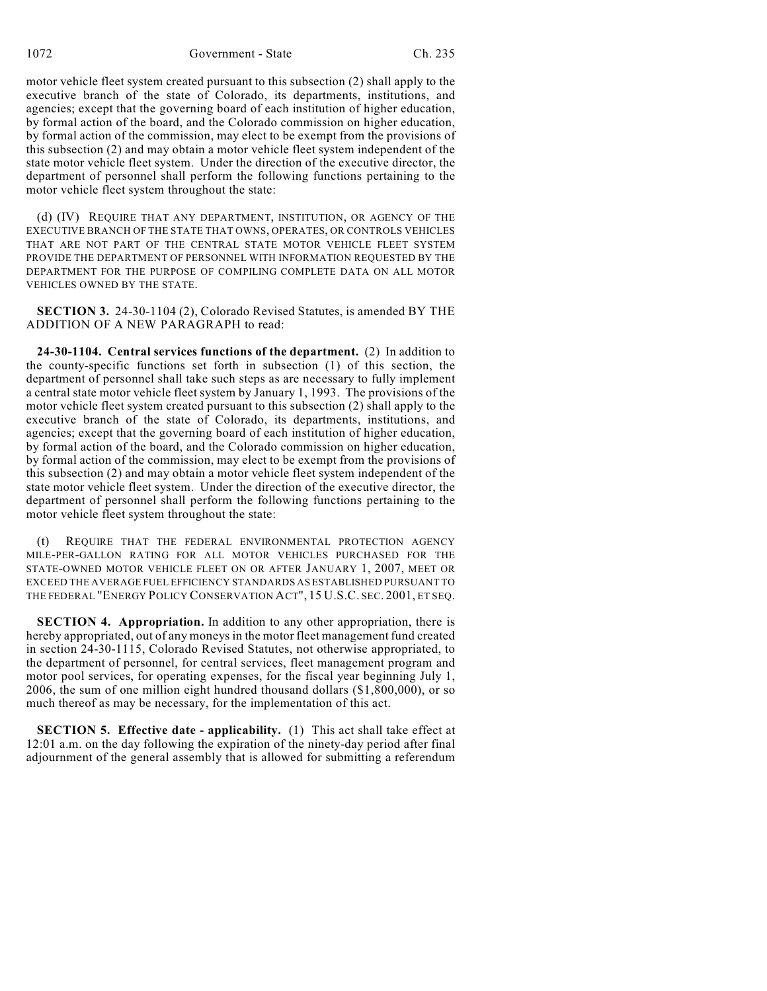1072 Government - State Ch. 235

motor vehicle fleet system created pursuant to this subsection (2) shall apply to the executive branch of the state of Colorado, its departments, institutions, and agencies; except that the governing board of each institution of higher education, by formal action of the board, and the Colorado commission on higher education, by formal action of the commission, may elect to be exempt from the provisions of this subsection (2) and may obtain a motor vehicle fleet system independent of the state motor vehicle fleet system. Under the direction of the executive director, the department of personnel shall perform the following functions pertaining to the motor vehicle fleet system throughout the state:

(d) (IV) REQUIRE THAT ANY DEPARTMENT, INSTITUTION, OR AGENCY OF THE EXECUTIVE BRANCH OF THE STATE THAT OWNS, OPERATES, OR CONTROLS VEHICLES THAT ARE NOT PART OF THE CENTRAL STATE MOTOR VEHICLE FLEET SYSTEM PROVIDE THE DEPARTMENT OF PERSONNEL WITH INFORMATION REQUESTED BY THE DEPARTMENT FOR THE PURPOSE OF COMPILING COMPLETE DATA ON ALL MOTOR VEHICLES OWNED BY THE STATE.

**SECTION 3.** 24-30-1104 (2), Colorado Revised Statutes, is amended BY THE ADDITION OF A NEW PARAGRAPH to read:

**24-30-1104. Central services functions of the department.** (2) In addition to the county-specific functions set forth in subsection (1) of this section, the department of personnel shall take such steps as are necessary to fully implement a central state motor vehicle fleet system by January 1, 1993. The provisions of the motor vehicle fleet system created pursuant to this subsection (2) shall apply to the executive branch of the state of Colorado, its departments, institutions, and agencies; except that the governing board of each institution of higher education, by formal action of the board, and the Colorado commission on higher education, by formal action of the commission, may elect to be exempt from the provisions of this subsection (2) and may obtain a motor vehicle fleet system independent of the state motor vehicle fleet system. Under the direction of the executive director, the department of personnel shall perform the following functions pertaining to the motor vehicle fleet system throughout the state:

(t) REQUIRE THAT THE FEDERAL ENVIRONMENTAL PROTECTION AGENCY MILE-PER-GALLON RATING FOR ALL MOTOR VEHICLES PURCHASED FOR THE STATE-OWNED MOTOR VEHICLE FLEET ON OR AFTER JANUARY 1, 2007, MEET OR EXCEED THE AVERAGE FUEL EFFICIENCY STANDARDS AS ESTABLISHED PURSUANT TO THE FEDERAL "ENERGY POLICY CONSERVATION ACT", 15 U.S.C. SEC. 2001, ET SEQ.

**SECTION 4. Appropriation.** In addition to any other appropriation, there is hereby appropriated, out of any moneys in the motor fleet management fund created in section 24-30-1115, Colorado Revised Statutes, not otherwise appropriated, to the department of personnel, for central services, fleet management program and motor pool services, for operating expenses, for the fiscal year beginning July 1, 2006, the sum of one million eight hundred thousand dollars (\$1,800,000), or so much thereof as may be necessary, for the implementation of this act.

**SECTION 5. Effective date - applicability.** (1) This act shall take effect at 12:01 a.m. on the day following the expiration of the ninety-day period after final adjournment of the general assembly that is allowed for submitting a referendum